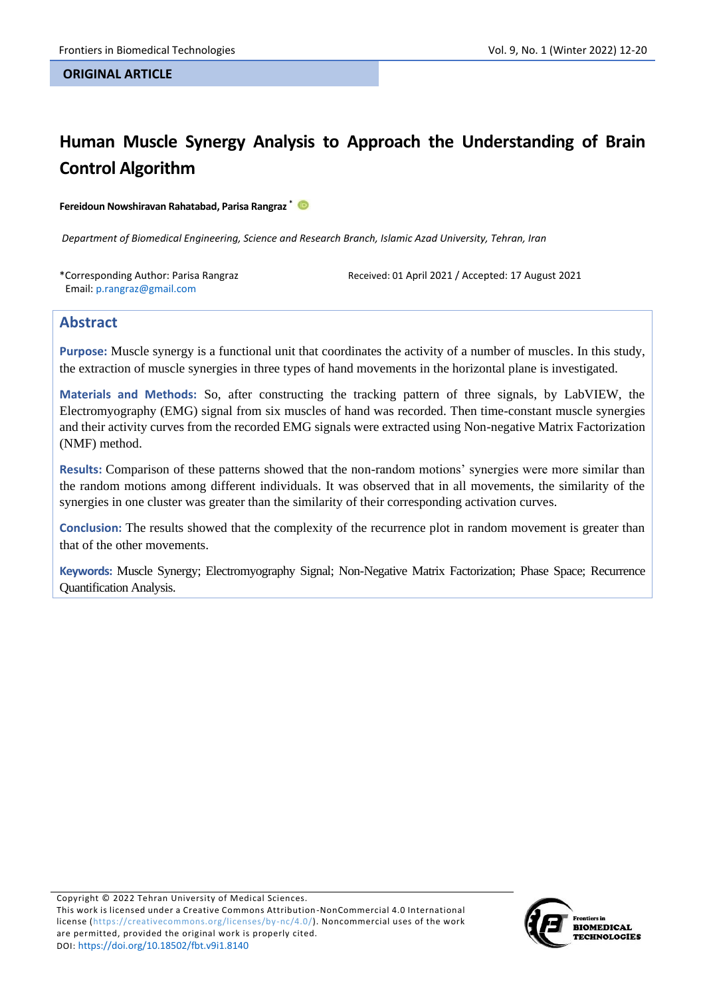#### **ORIGINAL ARTICLE**

# **Human Muscle Synergy Analysis to Approach the Understanding of Brain Control Algorithm**

**Fereidoun Nowshiravan Rahatabad, Parisa Rangraz \***

*Department of Biomedical Engineering, Science and Research Branch, Islamic Azad University, Tehran, Iran*

\*Corresponding Author: Parisa Rangraz Email: p.rangraz@gmail.com

Received: 01 April 2021 / Accepted: 17 August 2021

# **Abstract**

**Purpose:** Muscle synergy is a functional unit that coordinates the activity of a number of muscles. In this study, the extraction of muscle synergies in three types of hand movements in the horizontal plane is investigated.

**Materials and Methods:** So, after constructing the tracking pattern of three signals, by LabVIEW, the Electromyography (EMG) signal from six muscles of hand was recorded. Then time-constant muscle synergies and their activity curves from the recorded EMG signals were extracted using Non-negative Matrix Factorization (NMF) method.

**Results:** Comparison of these patterns showed that the non-random motions' synergies were more similar than the random motions among different individuals. It was observed that in all movements, the similarity of the synergies in one cluster was greater than the similarity of their corresponding activation curves.

**Conclusion:** The results showed that the complexity of the recurrence plot in random movement is greater than that of the other movements.

**Keywords:** Muscle Synergy; Electromyography Signal; Non-Negative Matrix Factorization; Phase Space; Recurrence Quantification Analysis.

Copyright © 2022 Tehran University of Medical Sciences. This work is licensed under a Creative Commons Attribution-NonCommercial 4.0 International license [\(https://creativecommons.org/licenses/by-nc/4.0/\)](https://creativecommons.org/licenses/by-nc/4.0/). Noncommercial uses of the work are permitted, provided the original work is properly cited. DOI: <https://doi.org/10.18502/fbt.v9i1.8140>

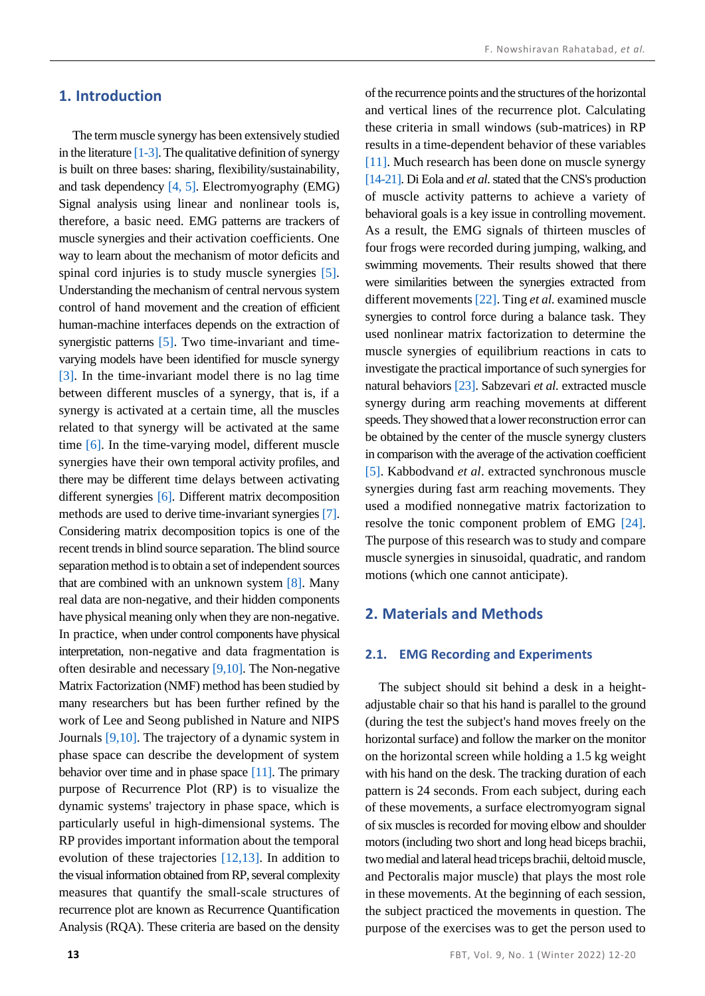## **1. Introduction**

The term muscle synergy has been extensively studied in the literature  $[1-3]$ . The qualitative definition of synergy is built on three bases: sharing, flexibility/sustainability, and task dependency [\[4,](#page-7-2) [5\].](#page-7-3) Electromyography (EMG) Signal analysis using linear and nonlinear tools is, therefore, a basic need. EMG patterns are trackers of muscle synergies and their activation coefficients. One way to learn about the mechanism of motor deficits and spinal cord injuries is to study muscle synergies [\[5\].](#page-7-3) Understanding the mechanism of central nervous system control of hand movement and the creation of efficient human-machine interfaces depends on the extraction of synergistic patterns [\[5\].](#page-7-3) Two time-invariant and timevarying models have been identified for muscle synergy [\[3\].](#page-7-1) In the time-invariant model there is no lag time between different muscles of a synergy, that is, if a synergy is activated at a certain time, all the muscles related to that synergy will be activated at the same time [\[6\].](#page-8-0) In the time-varying model, different muscle synergies have their own temporal activity profiles, and there may be different time delays between activating different synergies [\[6\].](#page-8-0) Different matrix decomposition methods are used to derive time-invariant synergies [\[7\].](#page-8-1)  Considering matrix decomposition topics is one of the recent trends in blind source separation. The blind source separation method is to obtain a set of independent sources that are combined with an unknown system  $[8]$ . Many real data are non-negative, and their hidden components have physical meaning only when they are non-negative. In practice, when under control components have physical interpretation, non-negative and data fragmentation is often desirable and necessar[y \[9,](#page-8-3)[10\].](#page-8-4) The Non-negative Matrix Factorization (NMF) method has been studied by many researchers but has been further refined by the work of Lee and Seong published in Nature and NIPS Journals [\[9,](#page-8-3)[10\].](#page-8-4) The trajectory of a dynamic system in phase space can describe the development of system behavior over time and in phase space  $[11]$ . The primary purpose of Recurrence Plot (RP) is to visualize the dynamic systems' trajectory in phase space, which is particularly useful in high-dimensional systems. The RP provides important information about the temporal evolution of these trajectories [\[12,](#page-8-6)[13\].](#page-8-7) In addition to the visual information obtained from RP, several complexity measures that quantify the small-scale structures of recurrence plot are known as Recurrence Quantification Analysis (RQA). These criteria are based on the density of the recurrence points and the structures of the horizontal and vertical lines of the recurrence plot. Calculating these criteria in small windows (sub-matrices) in RP results in a time-dependent behavior of these variables [\[11\].](#page-8-5) Much research has been done on muscle synergy [\[14-](#page-8-8)[21\].](#page-8-9) Di Eola and *et al*. stated that the CNS's production of muscle activity patterns to achieve a variety of behavioral goals is a key issue in controlling movement. As a result, the EMG signals of thirteen muscles of four frogs were recorded during jumping, walking, and swimming movements. Their results showed that there were similarities between the synergies extracted from different movement[s \[22\].](#page-8-10) Ting *et al.* examined muscle synergies to control force during a balance task. They used nonlinear matrix factorization to determine the muscle synergies of equilibrium reactions in cats to investigate the practical importance of such synergies for natural behaviors [\[23\].](#page-8-11) Sabzevari *et al.* extracted muscle synergy during arm reaching movements at different speeds. They showed that a lower reconstruction error can be obtained by the center of the muscle synergy clusters in comparison with the average of the activation coefficient [\[5\].](#page-7-3) Kabbodvand *et al*. extracted synchronous muscle synergies during fast arm reaching movements. They used a modified nonnegative matrix factorization to resolve the tonic component problem of EMG [\[24\].](#page-8-12) The purpose of this research was to study and compare muscle synergies in sinusoidal, quadratic, and random motions (which one cannot anticipate).

## **2. Materials and Methods**

#### **2.1. EMG Recording and Experiments**

The subject should sit behind a desk in a heightadjustable chair so that his hand is parallel to the ground (during the test the subject's hand moves freely on the horizontal surface) and follow the marker on the monitor on the horizontal screen while holding a 1.5 kg weight with his hand on the desk. The tracking duration of each pattern is 24 seconds. From each subject, during each of these movements, a surface electromyogram signal of six muscles is recorded for moving elbow and shoulder motors (including two short and long head biceps brachii, two medial and lateral head triceps brachii, deltoid muscle, and Pectoralis major muscle) that plays the most role in these movements. At the beginning of each session, the subject practiced the movements in question. The purpose of the exercises was to get the person used to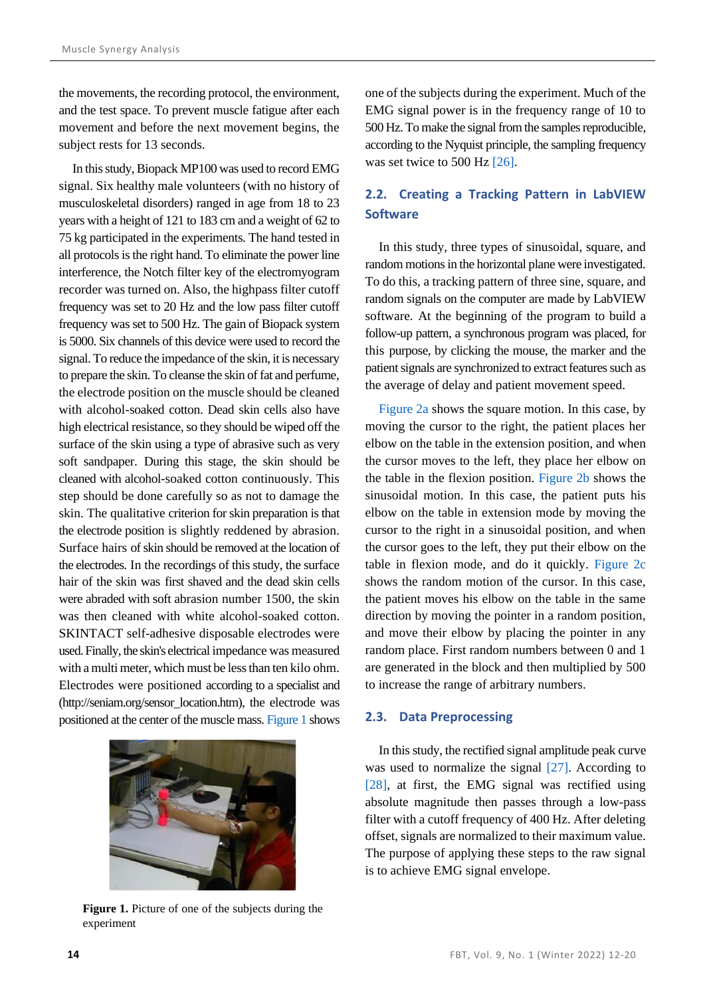the movements, the recording protocol, the environment, and the test space. To prevent muscle fatigue after each movement and before the next movement begins, the subject rests for 13 seconds.

In this study, Biopack MP100 was used to record EMG signal. Six healthy male volunteers (with no history of musculoskeletal disorders) ranged in age from 18 to 23 years with a height of 121 to 183 cm and a weight of 62 to 75 kg participated in the experiments. The hand tested in all protocols is the right hand. To eliminate the power line interference, the Notch filter key of the electromyogram recorder was turned on. Also, the highpass filter cutoff frequency was set to 20 Hz and the low pass filter cutoff frequency was set to 500 Hz. The gain of Biopack system is 5000. Six channels of this device were used to record the signal. To reduce the impedance of the skin, it is necessary to prepare the skin. To cleanse the skin of fat and perfume, the electrode position on the muscle should be cleaned with alcohol-soaked cotton. Dead skin cells also have high electrical resistance, so they should be wiped off the surface of the skin using a type of abrasive such as very soft sandpaper. During this stage, the skin should be cleaned with alcohol-soaked cotton continuously. This step should be done carefully so as not to damage the skin. The qualitative criterion for skin preparation is that the electrode position is slightly reddened by abrasion. Surface hairs of skin should be removed at the location of the electrodes. In the recordings of this study, the surface hair of the skin was first shaved and the dead skin cells were abraded with soft abrasion number 1500, the skin was then cleaned with white alcohol-soaked cotton. SKINTACT self-adhesive disposable electrodes were used. Finally, the skin's electrical impedance was measured with a multi meter, which must be less than ten kilo ohm. Electrodes were positioned according to a specialist and (http://seniam.org/sensor\_location.htm), the electrode was positioned at the center of the muscle mass[. Figure 1](#page-2-0) shows

<span id="page-2-0"></span>

**Figure 1.** Picture of one of the subjects during the experiment

one of the subjects during the experiment. Much of the EMG signal power is in the frequency range of 10 to 500 Hz. To make the signal from the samples reproducible, according to the Nyquist principle, the sampling frequency was set twice to 500 Hz [\[26\].](#page-8-13)

# **2.2. Creating a Tracking Pattern in LabVIEW Software**

In this study, three types of sinusoidal, square, and random motions in the horizontal plane were investigated. To do this, a tracking pattern of three sine, square, and random signals on the computer are made by LabVIEW software. At the beginning of the program to build a follow-up pattern, a synchronous program was placed, for this purpose, by clicking the mouse, the marker and the patient signals are synchronized to extract features such as the average of delay and patient movement speed.

[Figure 2a](#page-3-0) shows the square motion. In this case, by moving the cursor to the right, the patient places her elbow on the table in the extension position, and when the cursor moves to the left, they place her elbow on the table in the flexion position. [Figure 2b](#page-3-0) shows the sinusoidal motion. In this case, the patient puts his elbow on the table in extension mode by moving the cursor to the right in a sinusoidal position, and when the cursor goes to the left, they put their elbow on the table in flexion mode, and do it quickly. [Figure 2c](#page-3-0) shows the random motion of the cursor. In this case, the patient moves his elbow on the table in the same direction by moving the pointer in a random position, and move their elbow by placing the pointer in any random place. First random numbers between 0 and 1 are generated in the block and then multiplied by 500 to increase the range of arbitrary numbers.

#### **2.3. Data Preprocessing**

In this study, the rectified signal amplitude peak curve was used to normalize the signal [\[27\].](#page-8-14) According to [\[28\],](#page-8-15) at first, the EMG signal was rectified using absolute magnitude then passes through a low-pass filter with a cutoff frequency of 400 Hz. After deleting offset, signals are normalized to their maximum value. The purpose of applying these steps to the raw signal is to achieve EMG signal envelope.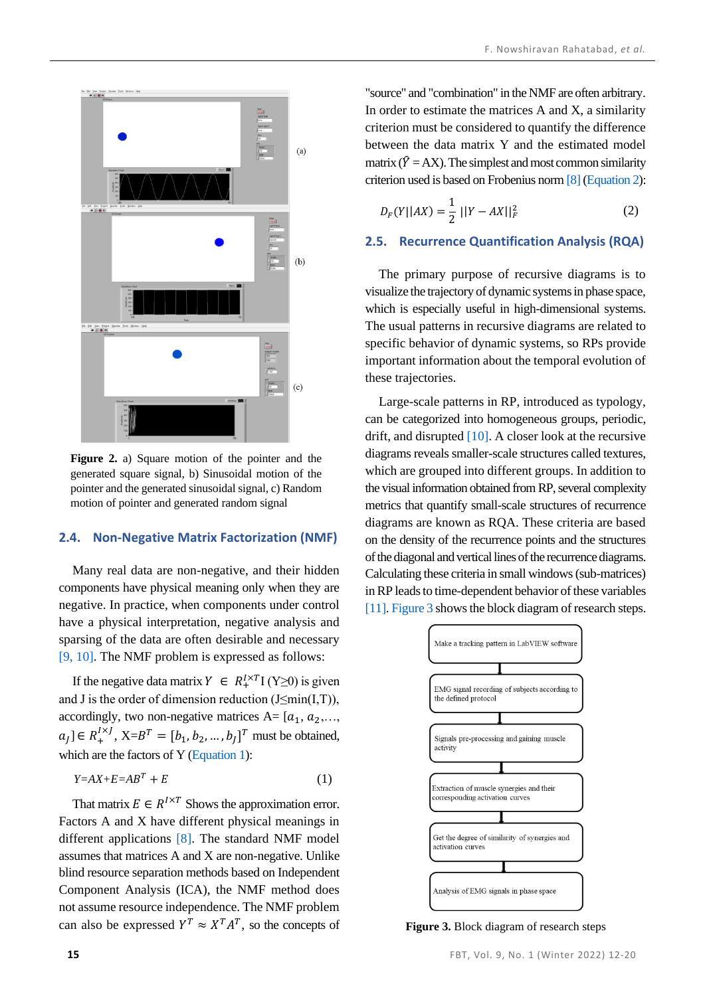

<span id="page-3-0"></span>**Figure 2.** a) Square motion of the pointer and the generated square signal, b) Sinusoidal motion of the pointer and the generated sinusoidal signal, c) Random motion of pointer and generated random signal

#### **2.4. Non-Negative Matrix Factorization (NMF)**

Many real data are non-negative, and their hidden components have physical meaning only when they are negative. In practice, when components under control have a physical interpretation, negative analysis and sparsing of the data are often desirable and necessary [\[9,](#page-8-3) [10\].](#page-8-4) The NMF problem is expressed as follows:

If the negative data matrix  $Y \in R_+^{I \times T}$  (Y≥0) is given and J is the order of dimension reduction  $(J \leq min(I, T))$ , accordingly, two non-negative matrices A=  $[a_1, a_2,..., a_n]$  $a_j$ ]  $\in R_+^{I \times J}$ , X= $B^T = [b_1, b_2, ..., b_J]^T$  must be obtained, which are the factors of Y [\(Equation 1\)](#page-3-1):

<span id="page-3-1"></span>
$$
Y = AX + E = AB^T + E \tag{1}
$$

That matrix  $E \in R^{I \times T}$  Shows the approximation error. Factors A and X have different physical meanings in different applications [\[8\].](#page-8-2) The standard NMF model assumes that matrices A and X are non-negative. Unlike blind resource separation methods based on Independent Component Analysis (ICA), the NMF method does not assume resource independence. The NMF problem can also be expressed  $Y^T \approx X^T A^T$ , so the concepts of

"source" and "combination" in the NMF are often arbitrary. In order to estimate the matrices A and X, a similarity criterion must be considered to quantify the difference between the data matrix Y and the estimated model matrix ( $\hat{Y} = AX$ ). The simplest and most common similarity criterion used is based on Frobenius nor[m \[8\]](#page-8-2) [\(Equation 2\)](#page-3-2):

<span id="page-3-2"></span>
$$
D_F(Y||AX) = \frac{1}{2}||Y - AX||_F^2
$$
 (2)

#### **2.5. Recurrence Quantification Analysis (RQA)**

The primary purpose of recursive diagrams is to visualize the trajectory of dynamic systems in phase space, which is especially useful in high-dimensional systems. The usual patterns in recursive diagrams are related to specific behavior of dynamic systems, so RPs provide important information about the temporal evolution of these trajectories.

Large-scale patterns in RP, introduced as typology, can be categorized into homogeneous groups, periodic, drift, and disrupted  $[10]$ . A closer look at the recursive diagrams reveals smaller-scale structures called textures, which are grouped into different groups. In addition to the visual information obtained from RP, several complexity metrics that quantify small-scale structures of recurrence diagrams are known as RQA. These criteria are based on the density of the recurrence points and the structures of the diagonal and vertical lines of the recurrence diagrams. Calculating these criteria in small windows (sub-matrices) in RP leads to time-dependent behavior of these variables [\[11\].](#page-8-5) [Figure 3](#page-3-3) shows the block diagram of research steps.



<span id="page-3-3"></span>**Figure 3.** Block diagram of research steps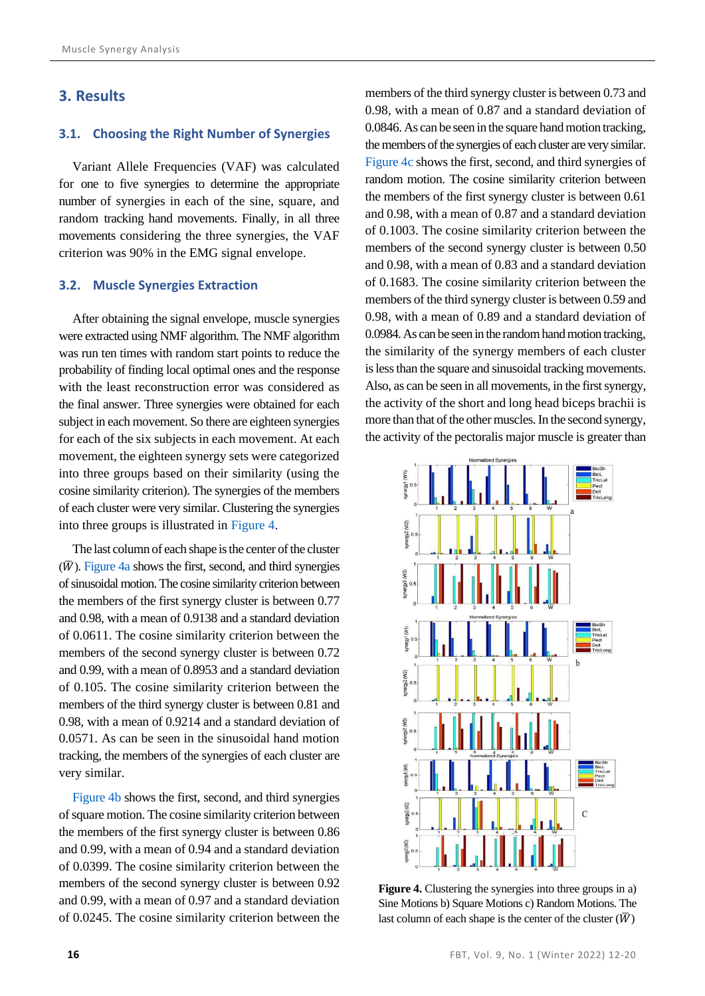## **3. Results**

#### **3.1. Choosing the Right Number of Synergies**

Variant Allele Frequencies (VAF) was calculated for one to five synergies to determine the appropriate number of synergies in each of the sine, square, and random tracking hand movements. Finally, in all three movements considering the three synergies, the VAF criterion was 90% in the EMG signal envelope.

#### **3.2. Muscle Synergies Extraction**

After obtaining the signal envelope, muscle synergies were extracted using NMF algorithm. The NMF algorithm was run ten times with random start points to reduce the probability of finding local optimal ones and the response with the least reconstruction error was considered as the final answer. Three synergies were obtained for each subject in each movement. So there are eighteen synergies for each of the six subjects in each movement. At each movement, the eighteen synergy sets were categorized into three groups based on their similarity (using the cosine similarity criterion). The synergies of the members of each cluster were very similar. Clustering the synergies into three groups is illustrated in [Figure 4.](#page-4-0)

The last column of each shape is the center of the cluster  $(\overline{W})$ . [Figure 4a](#page-4-0) shows the first, second, and third synergies of sinusoidal motion. The cosine similarity criterion between the members of the first synergy cluster is between 0.77 and 0.98, with a mean of 0.9138 and a standard deviation of 0.0611. The cosine similarity criterion between the members of the second synergy cluster is between 0.72 and 0.99, with a mean of 0.8953 and a standard deviation of 0.105. The cosine similarity criterion between the members of the third synergy cluster is between 0.81 and 0.98, with a mean of 0.9214 and a standard deviation of 0.0571. As can be seen in the sinusoidal hand motion tracking, the members of the synergies of each cluster are very similar.

[Figure 4b](#page-4-0) shows the first, second, and third synergies of square motion. The cosine similarity criterion between the members of the first synergy cluster is between 0.86 and 0.99, with a mean of 0.94 and a standard deviation of 0.0399. The cosine similarity criterion between the members of the second synergy cluster is between 0.92 and 0.99, with a mean of 0.97 and a standard deviation of 0.0245. The cosine similarity criterion between the members of the third synergy cluster is between 0.73 and 0.98, with a mean of 0.87 and a standard deviation of 0.0846. As can be seen in the square hand motion tracking, the members of the synergies of each cluster are very similar. [Figure 4c](#page-4-0) shows the first, second, and third synergies of random motion. The cosine similarity criterion between the members of the first synergy cluster is between 0.61 and 0.98, with a mean of 0.87 and a standard deviation of 0.1003. The cosine similarity criterion between the members of the second synergy cluster is between 0.50 and 0.98, with a mean of 0.83 and a standard deviation of 0.1683. The cosine similarity criterion between the members of the third synergy cluster is between 0.59 and 0.98, with a mean of 0.89 and a standard deviation of 0.0984. As can be seen in the random hand motion tracking, the similarity of the synergy members of each cluster is less than the square and sinusoidal tracking movements. Also, as can be seen in all movements, in the first synergy, the activity of the short and long head biceps brachii is more than that of the other muscles. In the second synergy, the activity of the pectoralis major muscle is greater than



<span id="page-4-0"></span>**Figure 4.** Clustering the synergies into three groups in a) Sine Motions b) Square Motions c) Random Motions. The last column of each shape is the center of the cluster  $(\overline{W})$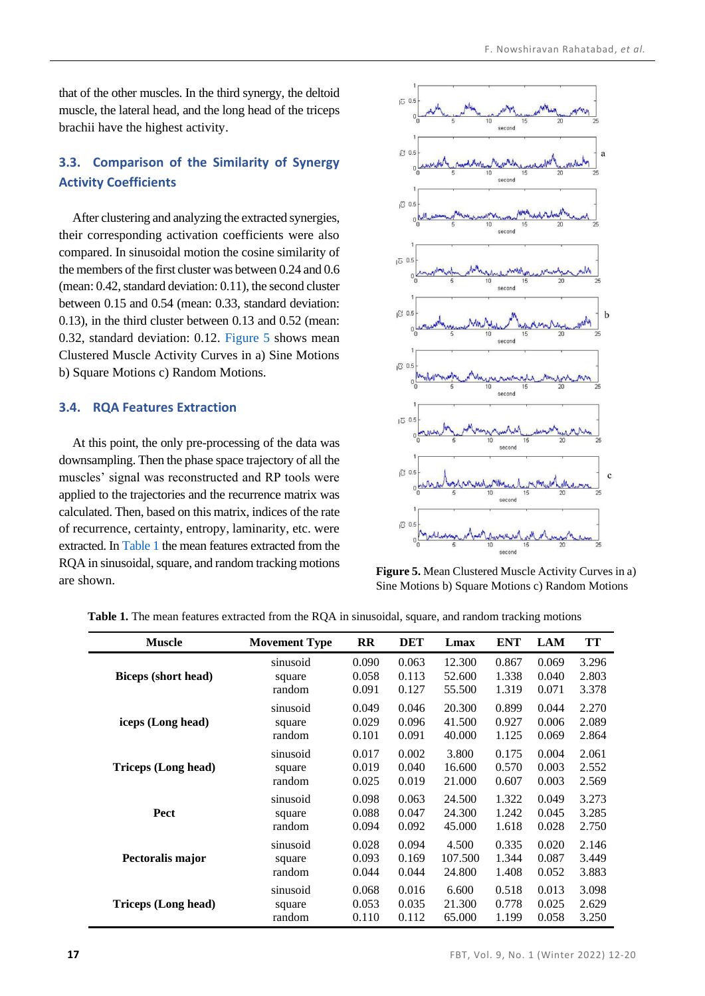that of the other muscles. In the third synergy, the deltoid muscle, the lateral head, and the long head of the triceps brachii have the highest activity.

# **3.3. Comparison of the Similarity of Synergy Activity Coefficients**

After clustering and analyzing the extracted synergies, their corresponding activation coefficients were also compared. In sinusoidal motion the cosine similarity of the members of the first cluster was between 0.24 and 0.6 (mean: 0.42, standard deviation: 0.11), the second cluster between 0.15 and 0.54 (mean: 0.33, standard deviation: 0.13), in the third cluster between 0.13 and 0.52 (mean: 0.32, standard deviation: 0.12. [Figure 5](#page-5-0) shows mean Clustered Muscle Activity Curves in a) Sine Motions b) Square Motions c) Random Motions.

#### **3.4. RQA Features Extraction**

At this point, the only pre-processing of the data was downsampling. Then the phase space trajectory of all the muscles' signal was reconstructed and RP tools were applied to the trajectories and the recurrence matrix was calculated. Then, based on this matrix, indices of the rate of recurrence, certainty, entropy, laminarity, etc. were extracted. In [Table 1](#page-5-1) the mean features extracted from the RQA in sinusoidal, square, and random tracking motions are shown.



<span id="page-5-0"></span>**Figure 5.** Mean Clustered Muscle Activity Curves in a) Sine Motions b) Square Motions c) Random Motions

| <b>Muscle</b>       | <b>Movement Type</b> | $\mathbf{R}$ | <b>DET</b> | Lmax    | <b>ENT</b> | <b>LAM</b> | TT    |
|---------------------|----------------------|--------------|------------|---------|------------|------------|-------|
| Biceps (short head) | sinusoid             | 0.090        | 0.063      | 12.300  | 0.867      | 0.069      | 3.296 |
|                     | square               | 0.058        | 0.113      | 52.600  | 1.338      | 0.040      | 2.803 |
|                     | random               | 0.091        | 0.127      | 55.500  | 1.319      | 0.071      | 3.378 |
| iceps (Long head)   | sinusoid             | 0.049        | 0.046      | 20.300  | 0.899      | 0.044      | 2.270 |
|                     | square               | 0.029        | 0.096      | 41.500  | 0.927      | 0.006      | 2.089 |
|                     | random               | 0.101        | 0.091      | 40.000  | 1.125      | 0.069      | 2.864 |
| Triceps (Long head) | sinusoid             | 0.017        | 0.002      | 3.800   | 0.175      | 0.004      | 2.061 |
|                     | square               | 0.019        | 0.040      | 16.600  | 0.570      | 0.003      | 2.552 |
|                     | random               | 0.025        | 0.019      | 21.000  | 0.607      | 0.003      | 2.569 |
| Pect                | sinusoid             | 0.098        | 0.063      | 24.500  | 1.322      | 0.049      | 3.273 |
|                     | square               | 0.088        | 0.047      | 24.300  | 1.242      | 0.045      | 3.285 |
|                     | random               | 0.094        | 0.092      | 45.000  | 1.618      | 0.028      | 2.750 |
| Pectoralis major    | sinusoid             | 0.028        | 0.094      | 4.500   | 0.335      | 0.020      | 2.146 |
|                     | square               | 0.093        | 0.169      | 107.500 | 1.344      | 0.087      | 3.449 |
|                     | random               | 0.044        | 0.044      | 24.800  | 1.408      | 0.052      | 3.883 |
| Triceps (Long head) | sinusoid             | 0.068        | 0.016      | 6.600   | 0.518      | 0.013      | 3.098 |
|                     | square               | 0.053        | 0.035      | 21.300  | 0.778      | 0.025      | 2.629 |
|                     | random               | 0.110        | 0.112      | 65.000  | 1.199      | 0.058      | 3.250 |

<span id="page-5-1"></span>**Table 1.** The mean features extracted from the RQA in sinusoidal, square, and random tracking motions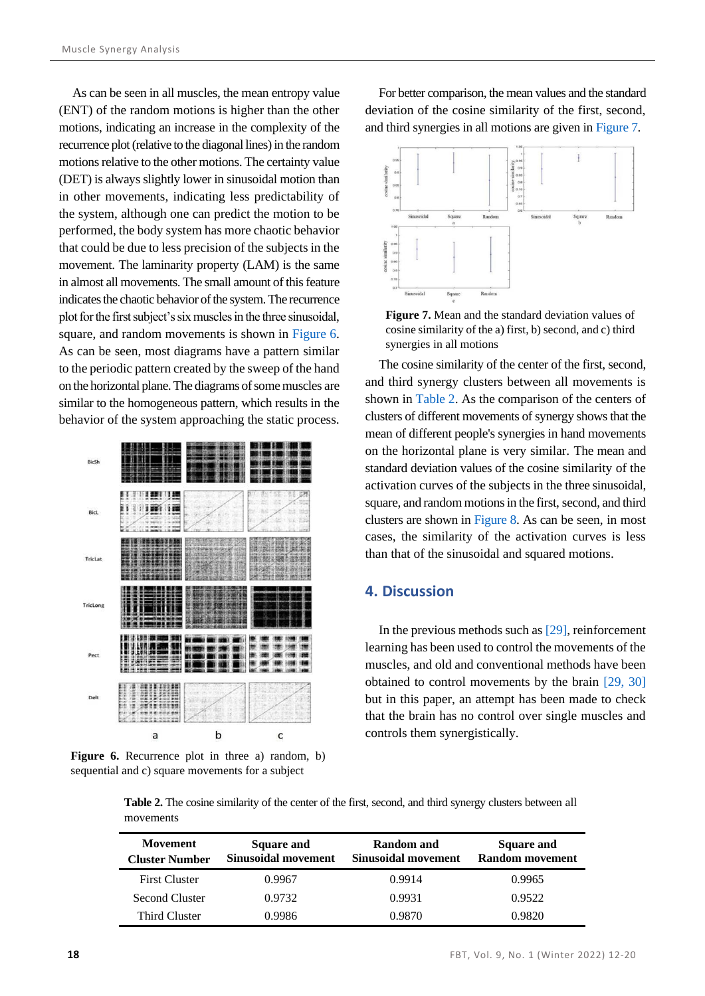As can be seen in all muscles, the mean entropy value (ENT) of the random motions is higher than the other motions, indicating an increase in the complexity of the recurrence plot (relative to the diagonal lines) in the random motions relative to the other motions. The certainty value (DET) is always slightly lower in sinusoidal motion than in other movements, indicating less predictability of the system, although one can predict the motion to be performed, the body system has more chaotic behavior that could be due to less precision of the subjects in the movement. The laminarity property (LAM) is the same in almost all movements. The small amount of this feature indicates the chaotic behavior of the system. The recurrence plot for the first subject's six muscles in the three sinusoidal, square, and random movements is shown in [Figure 6.](#page-6-0) As can be seen, most diagrams have a pattern similar to the periodic pattern created by the sweep of the hand on the horizontal plane. The diagrams of some muscles are similar to the homogeneous pattern, which results in the behavior of the system approaching the static process.



<span id="page-6-0"></span>**Figure 6.** Recurrence plot in three a) random, b) sequential and c) square movements for a subject

For better comparison, the mean values and the standard deviation of the cosine similarity of the first, second, and third synergies in all motions are given in [Figure 7.](#page-6-1)



<span id="page-6-1"></span>**Figure 7.** Mean and the standard deviation values of cosine similarity of the a) first, b) second, and c) third synergies in all motions

The cosine similarity of the center of the first, second, and third synergy clusters between all movements is shown in [Table 2.](#page-6-2) As the comparison of the centers of clusters of different movements of synergy shows that the mean of different people's synergies in hand movements on the horizontal plane is very similar. The mean and standard deviation values of the cosine similarity of the activation curves of the subjects in the three sinusoidal, square, and random motions in the first, second, and third clusters are shown in [Figure 8.](#page-7-4) As can be seen, in most cases, the similarity of the activation curves is less than that of the sinusoidal and squared motions.

# **4. Discussion**

In the previous methods such a[s \[29\],](#page-8-16) reinforcement learning has been used to control the movements of the muscles, and old and conventional methods have been obtained to control movements by the brain [\[29,](#page-8-16) [30\]](#page-8-17) but in this paper, an attempt has been made to check that the brain has no control over single muscles and controls them synergistically.

<span id="page-6-2"></span>**Table 2.** The cosine similarity of the center of the first, second, and third synergy clusters between all movements

| <b>Movement</b><br><b>Cluster Number</b> | <b>Square and</b><br>Sinusoidal movement | Random and<br>Sinusoidal movement | <b>Square and</b><br><b>Random movement</b> |
|------------------------------------------|------------------------------------------|-----------------------------------|---------------------------------------------|
| <b>First Cluster</b>                     | 0.9967                                   | 0.9914                            | 0.9965                                      |
| Second Cluster                           | 0.9732                                   | 0.9931                            | 0.9522                                      |
| Third Cluster                            | 0.9986                                   | 0.9870                            | 0.9820                                      |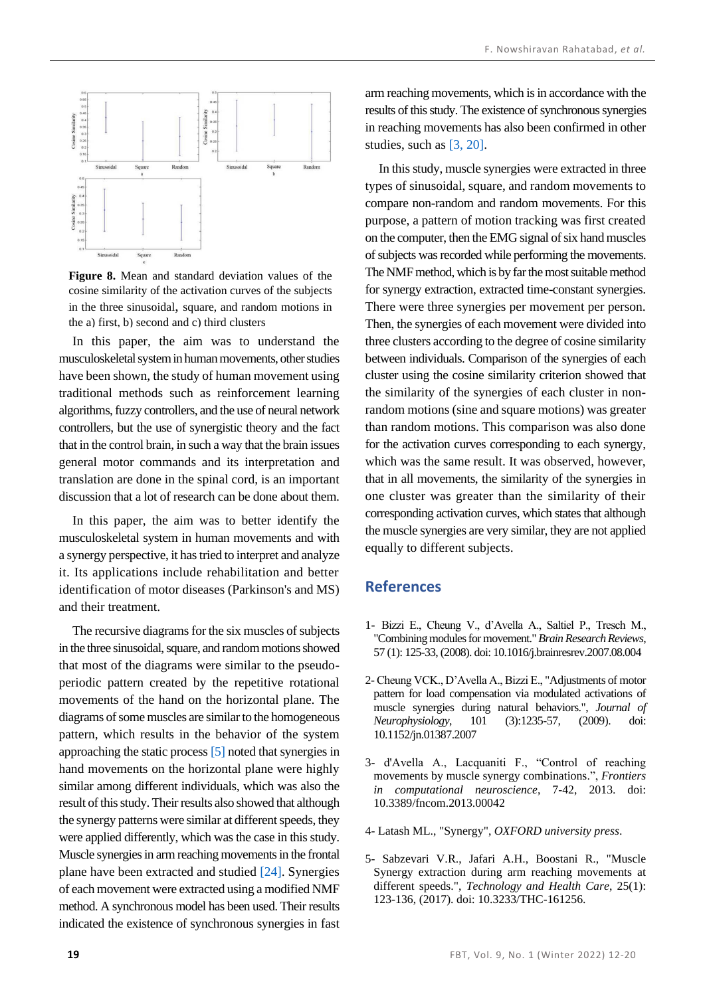

<span id="page-7-4"></span>**Figure 8.** Mean and standard deviation values of the cosine similarity of the activation curves of the subjects in the three sinusoidal, square, and random motions in the a) first, b) second and c) third clusters

In this paper, the aim was to understand the musculoskeletal system in human movements, other studies have been shown, the study of human movement using traditional methods such as reinforcement learning algorithms, fuzzy controllers, and the use of neural network controllers, but the use of synergistic theory and the fact that in the control brain, in such a way that the brain issues general motor commands and its interpretation and translation are done in the spinal cord, is an important discussion that a lot of research can be done about them.

In this paper, the aim was to better identify the musculoskeletal system in human movements and with a synergy perspective, it has tried to interpret and analyze it. Its applications include rehabilitation and better identification of motor diseases (Parkinson's and MS) and their treatment.

The recursive diagrams for the six muscles of subjects in the three sinusoidal, square, and random motions showed that most of the diagrams were similar to the pseudoperiodic pattern created by the repetitive rotational movements of the hand on the horizontal plane. The diagrams of some muscles are similar to the homogeneous pattern, which results in the behavior of the system approaching the static process [\[5\]](#page-7-3) noted that synergies in hand movements on the horizontal plane were highly similar among different individuals, which was also the result of this study. Their results also showed that although the synergy patterns were similar at different speeds, they were applied differently, which was the case in this study. Muscle synergies in arm reaching movements in the frontal plane have been extracted and studied [\[24\].](#page-8-12) Synergies of each movement were extracted using a modified NMF method. A synchronous model has been used. Their results indicated the existence of synchronous synergies in fast arm reaching movements, which is in accordance with the results of this study. The existence of synchronous synergies in reaching movements has also been confirmed in other studies, such as [\[3,](#page-7-1) [20\].](#page-8-18)

In this study, muscle synergies were extracted in three types of sinusoidal, square, and random movements to compare non-random and random movements. For this purpose, a pattern of motion tracking was first created on the computer, then the EMG signal of six hand muscles of subjects was recorded while performing the movements. The NMF method, which is by far the most suitable method for synergy extraction, extracted time-constant synergies. There were three synergies per movement per person. Then, the synergies of each movement were divided into three clusters according to the degree of cosine similarity between individuals. Comparison of the synergies of each cluster using the cosine similarity criterion showed that the similarity of the synergies of each cluster in nonrandom motions (sine and square motions) was greater than random motions. This comparison was also done for the activation curves corresponding to each synergy, which was the same result. It was observed, however, that in all movements, the similarity of the synergies in one cluster was greater than the similarity of their corresponding activation curves, which states that although the muscle synergies are very similar, they are not applied equally to different subjects.

#### **References**

- <span id="page-7-0"></span>1- Bizzi E., Cheung V., d'Avella A., Saltiel P., Tresch M., "Combining modules for movement."*Brain Research Reviews*, 57 (1): 125-33, (2008). doi: 10.1016/j.brainresrev.2007.08.004
- 2- Cheung VCK., D'Avella A., Bizzi E., "Adjustments of motor pattern for load compensation via modulated activations of muscle synergies during natural behaviors.", *Journal of Neurophysiology*, 101 (3):1235-57, (2009). doi: 10.1152/jn.01387.2007
- <span id="page-7-1"></span>3- d'Avella A., Lacquaniti F., "Control of reaching movements by muscle synergy combinations.", *Frontiers in computational neuroscience*, 7-42, 2013. doi: 10.3389/fncom.2013.00042
- <span id="page-7-2"></span>4- Latash ML., "Synergy", *OXFORD university press*.
- <span id="page-7-3"></span>5- Sabzevari V.R., Jafari A.H., Boostani R., "Muscle Synergy extraction during arm reaching movements at different speeds.", *Technology and Health Care*, 25(1): 123-136, (2017). doi: 10.3233/THC-161256.